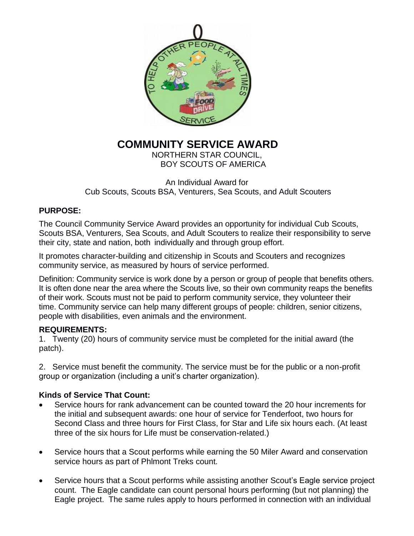

# **COMMUNITY SERVICE AWARD**

NORTHERN STAR COUNCIL, BOY SCOUTS OF AMERICA

An Individual Award for Cub Scouts, Scouts BSA, Venturers, Sea Scouts, and Adult Scouters

## **PURPOSE:**

The Council Community Service Award provides an opportunity for individual Cub Scouts, Scouts BSA, Venturers, Sea Scouts, and Adult Scouters to realize their responsibility to serve their city, state and nation, both individually and through group effort.

It promotes character-building and citizenship in Scouts and Scouters and recognizes community service, as measured by hours of service performed.

Definition: Community service is work done by a person or group of people that benefits others. It is often done near the area where the Scouts live, so their own community reaps the benefits of their work. Scouts must not be paid to perform community service, they volunteer their time. Community service can help many different groups of people: children, senior citizens, people with disabilities, even animals and the environment.

## **REQUIREMENTS:**

1. Twenty (20) hours of community service must be completed for the initial award (the patch).

2. Service must benefit the community. The service must be for the public or a non-profit group or organization (including a unit's charter organization).

# **Kinds of Service That Count:**

- Service hours for rank advancement can be counted toward the 20 hour increments for the initial and subsequent awards: one hour of service for Tenderfoot, two hours for Second Class and three hours for First Class, for Star and Life six hours each. (At least three of the six hours for Life must be conservation-related.)
- Service hours that a Scout performs while earning the 50 Miler Award and conservation service hours as part of Phlmont Treks count.
- Service hours that a Scout performs while assisting another Scout's Eagle service project count. The Eagle candidate can count personal hours performing (but not planning) the Eagle project. The same rules apply to hours performed in connection with an individual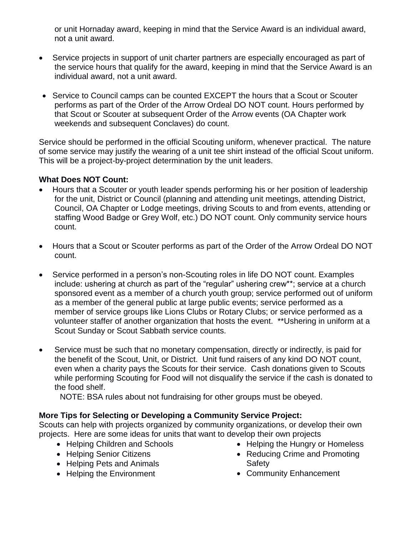or unit Hornaday award, keeping in mind that the Service Award is an individual award, not a unit award.

- Service projects in support of unit charter partners are especially encouraged as part of the service hours that qualify for the award, keeping in mind that the Service Award is an individual award, not a unit award.
- Service to Council camps can be counted EXCEPT the hours that a Scout or Scouter performs as part of the Order of the Arrow Ordeal DO NOT count. Hours performed by that Scout or Scouter at subsequent Order of the Arrow events (OA Chapter work weekends and subsequent Conclaves) do count.

Service should be performed in the official Scouting uniform, whenever practical. The nature of some service may justify the wearing of a unit tee shirt instead of the official Scout uniform. This will be a project-by-project determination by the unit leaders.

#### **What Does NOT Count:**

- Hours that a Scouter or youth leader spends performing his or her position of leadership for the unit, District or Council (planning and attending unit meetings, attending District, Council, OA Chapter or Lodge meetings, driving Scouts to and from events, attending or staffing Wood Badge or Grey Wolf, etc.) DO NOT count. Only community service hours count.
- Hours that a Scout or Scouter performs as part of the Order of the Arrow Ordeal DO NOT count.
- Service performed in a person's non-Scouting roles in life DO NOT count. Examples include: ushering at church as part of the "regular" ushering crew\*\*; service at a church sponsored event as a member of a church youth group; service performed out of uniform as a member of the general public at large public events; service performed as a member of service groups like Lions Clubs or Rotary Clubs; or service performed as a volunteer staffer of another organization that hosts the event. \*\*Ushering in uniform at a Scout Sunday or Scout Sabbath service counts.
- Service must be such that no monetary compensation, directly or indirectly, is paid for the benefit of the Scout, Unit, or District. Unit fund raisers of any kind DO NOT count, even when a charity pays the Scouts for their service. Cash donations given to Scouts while performing Scouting for Food will not disqualify the service if the cash is donated to the food shelf.

NOTE: BSA rules about not fundraising for other groups must be obeyed.

## **More Tips for Selecting or Developing a Community Service Project:**

Scouts can help with projects organized by community organizations, or develop their own projects. Here are some ideas for units that want to develop their own projects

- Helping Children and Schools
- Helping Senior Citizens
- Helping Pets and Animals
- Helping the Environment
- Helping the Hungry or Homeless
- Reducing Crime and Promoting Safety
- Community Enhancement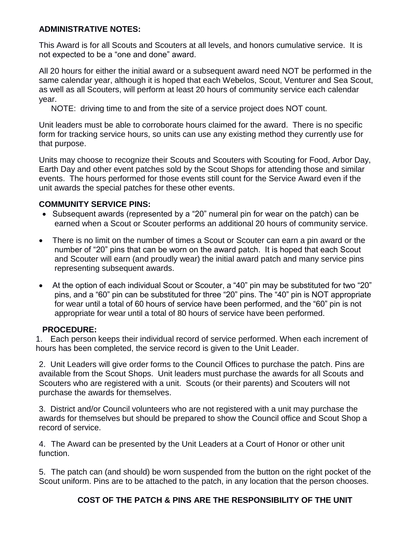## **ADMINISTRATIVE NOTES:**

This Award is for all Scouts and Scouters at all levels, and honors cumulative service. It is not expected to be a "one and done" award.

All 20 hours for either the initial award or a subsequent award need NOT be performed in the same calendar year, although it is hoped that each Webelos, Scout, Venturer and Sea Scout, as well as all Scouters, will perform at least 20 hours of community service each calendar year.

NOTE: driving time to and from the site of a service project does NOT count.

Unit leaders must be able to corroborate hours claimed for the award. There is no specific form for tracking service hours, so units can use any existing method they currently use for that purpose.

Units may choose to recognize their Scouts and Scouters with Scouting for Food, Arbor Day, Earth Day and other event patches sold by the Scout Shops for attending those and similar events. The hours performed for those events still count for the Service Award even if the unit awards the special patches for these other events.

#### **COMMUNITY SERVICE PINS:**

- Subsequent awards (represented by a "20" numeral pin for wear on the patch) can be earned when a Scout or Scouter performs an additional 20 hours of community service.
- There is no limit on the number of times a Scout or Scouter can earn a pin award or the number of "20" pins that can be worn on the award patch. It is hoped that each Scout and Scouter will earn (and proudly wear) the initial award patch and many service pins representing subsequent awards.
- At the option of each individual Scout or Scouter, a "40" pin may be substituted for two "20" pins, and a "60" pin can be substituted for three "20" pins. The "40" pin is NOT appropriate for wear until a total of 60 hours of service have been performed, and the "60" pin is not appropriate for wear until a total of 80 hours of service have been performed.

#### **PROCEDURE:**

1. Each person keeps their individual record of service performed. When each increment of hours has been completed, the service record is given to the Unit Leader.

2. Unit Leaders will give order forms to the Council Offices to purchase the patch. Pins are available from the Scout Shops. Unit leaders must purchase the awards for all Scouts and Scouters who are registered with a unit. Scouts (or their parents) and Scouters will not purchase the awards for themselves.

3. District and/or Council volunteers who are not registered with a unit may purchase the awards for themselves but should be prepared to show the Council office and Scout Shop a record of service.

4. The Award can be presented by the Unit Leaders at a Court of Honor or other unit function.

5. The patch can (and should) be worn suspended from the button on the right pocket of the Scout uniform. Pins are to be attached to the patch, in any location that the person chooses.

# **COST OF THE PATCH & PINS ARE THE RESPONSIBILITY OF THE UNIT**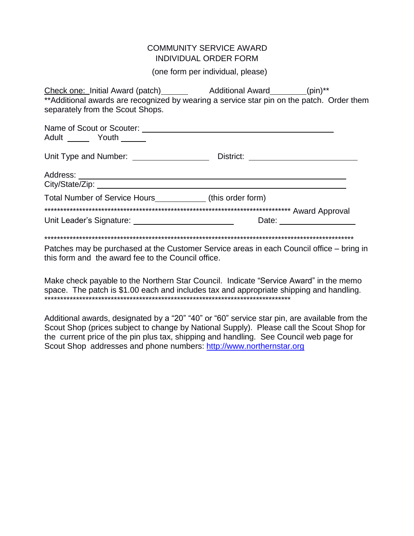#### **COMMUNITY SERVICE AWARD INDIVIDUAL ORDER FORM**

(one form per individual, please)

| **Additional awards are recognized by wearing a service star pin on the patch. Order them |                                                                           |
|-------------------------------------------------------------------------------------------|---------------------------------------------------------------------------|
| separately from the Scout Shops.                                                          |                                                                           |
|                                                                                           |                                                                           |
| Adult _______ Youth ______                                                                |                                                                           |
| Unit Type and Number: _____________________                                               |                                                                           |
|                                                                                           |                                                                           |
|                                                                                           |                                                                           |
| Total Number of Service Hours ______________ (this order form)                            |                                                                           |
|                                                                                           |                                                                           |
|                                                                                           | Date: $\frac{1}{\sqrt{1-\frac{1}{2}}\cdot\frac{1}{\sqrt{1-\frac{1}{2}}}}$ |
|                                                                                           |                                                                           |
| Datches may be purchased at the Customer Service areas in each Council office — bring in  |                                                                           |

Patches may be purchased at the Customer Service areas in each Council office – bring in this form and the award fee to the Council office.

Make check payable to the Northern Star Council. Indicate "Service Award" in the memo space. The patch is \$1.00 each and includes tax and appropriate shipping and handling. 

Additional awards, designated by a "20" "40" or "60" service star pin, are available from the Scout Shop (prices subject to change by National Supply). Please call the Scout Shop for the current price of the pin plus tax, shipping and handling. See Council web page for Scout Shop addresses and phone numbers: http://www.northernstar.org